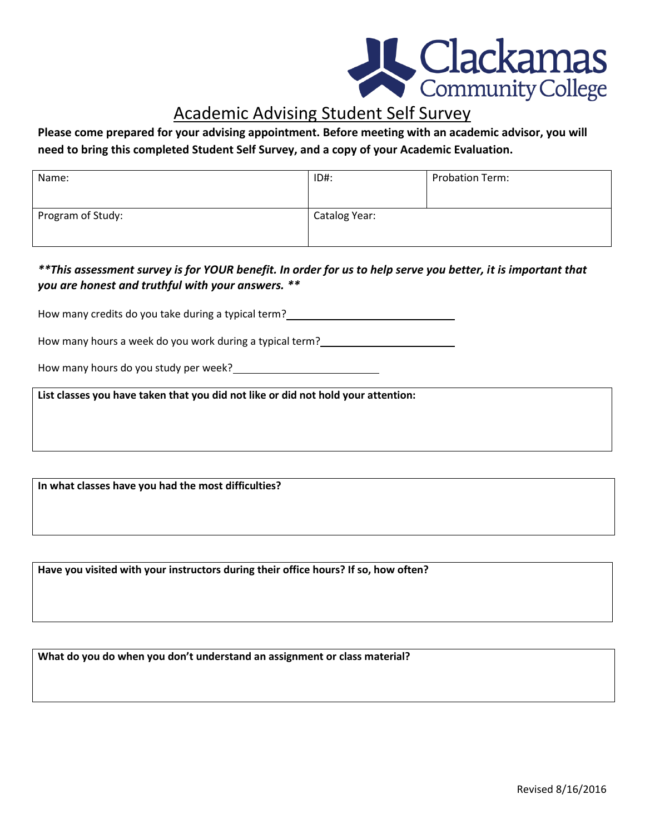

## Academic Advising Student Self Survey

## **Please come prepared for your advising appointment. Before meeting with an academic advisor, you will need to bring this completed Student Self Survey, and a copy of your Academic Evaluation.**

| Name:             | ID#:          | <b>Probation Term:</b> |
|-------------------|---------------|------------------------|
| Program of Study: | Catalog Year: |                        |

## *\*\*This assessment survey is for YOUR benefit. In order for us to help serve you better, it is important that you are honest and truthful with your answers. \*\**

How many credits do you take during a typical term?<br>
<u>Lettermany credits do you take during a typical term?</u>

How many hours a week do you work during a typical term?

How many hours do you study per week?

**List classes you have taken that you did not like or did not hold your attention:**

**In what classes have you had the most difficulties?**

**Have you visited with your instructors during their office hours? If so, how often?**

**What do you do when you don't understand an assignment or class material?**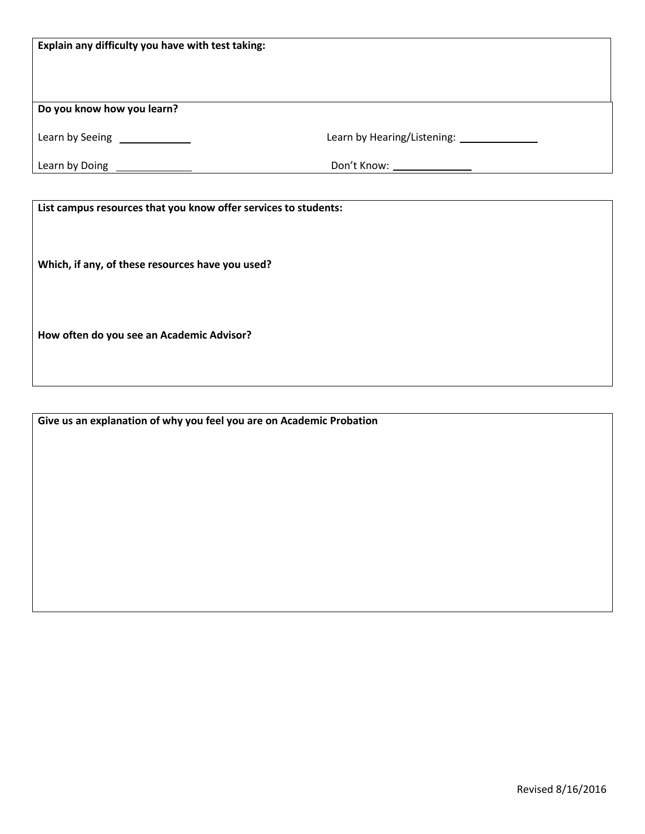| Explain any difficulty you have with test taking:                                                                   |                                              |
|---------------------------------------------------------------------------------------------------------------------|----------------------------------------------|
| Do you know how you learn?                                                                                          |                                              |
| Learn by Seeing <b>Learn by Seeing</b>                                                                              | Learn by Hearing/Listening: ________________ |
| Learn by Doing<br><u> Learn by Doing</u>                                                                            |                                              |
| List campus resources that you know offer services to students:<br>Which, if any, of these resources have you used? |                                              |

**How often do you see an Academic Advisor?**

**Give us an explanation of why you feel you are on Academic Probation**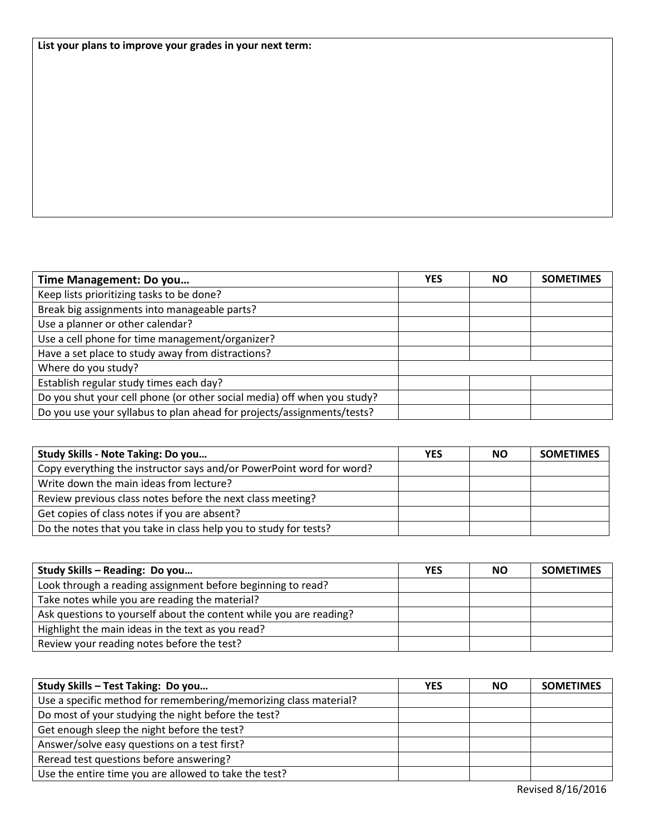**List your plans to improve your grades in your next term:**

| Time Management: Do you                                                 | YES | ΝO | <b>SOMETIMES</b> |
|-------------------------------------------------------------------------|-----|----|------------------|
| Keep lists prioritizing tasks to be done?                               |     |    |                  |
| Break big assignments into manageable parts?                            |     |    |                  |
| Use a planner or other calendar?                                        |     |    |                  |
| Use a cell phone for time management/organizer?                         |     |    |                  |
| Have a set place to study away from distractions?                       |     |    |                  |
| Where do you study?                                                     |     |    |                  |
| Establish regular study times each day?                                 |     |    |                  |
| Do you shut your cell phone (or other social media) off when you study? |     |    |                  |
| Do you use your syllabus to plan ahead for projects/assignments/tests?  |     |    |                  |

| Study Skills - Note Taking: Do you                                   | <b>YES</b> | <b>NO</b> | <b>SOMETIMES</b> |
|----------------------------------------------------------------------|------------|-----------|------------------|
| Copy everything the instructor says and/or PowerPoint word for word? |            |           |                  |
| Write down the main ideas from lecture?                              |            |           |                  |
| Review previous class notes before the next class meeting?           |            |           |                  |
| Get copies of class notes if you are absent?                         |            |           |                  |
| Do the notes that you take in class help you to study for tests?     |            |           |                  |

| Study Skills - Reading: Do you                                     | <b>YES</b> | ΝO | <b>SOMETIMES</b> |
|--------------------------------------------------------------------|------------|----|------------------|
| Look through a reading assignment before beginning to read?        |            |    |                  |
| Take notes while you are reading the material?                     |            |    |                  |
| Ask questions to yourself about the content while you are reading? |            |    |                  |
| Highlight the main ideas in the text as you read?                  |            |    |                  |
| Review your reading notes before the test?                         |            |    |                  |

| Study Skills - Test Taking: Do you                               | <b>YES</b> | <b>NO</b> | <b>SOMETIMES</b> |
|------------------------------------------------------------------|------------|-----------|------------------|
| Use a specific method for remembering/memorizing class material? |            |           |                  |
| Do most of your studying the night before the test?              |            |           |                  |
| Get enough sleep the night before the test?                      |            |           |                  |
| Answer/solve easy questions on a test first?                     |            |           |                  |
| Reread test questions before answering?                          |            |           |                  |
| Use the entire time you are allowed to take the test?            |            |           |                  |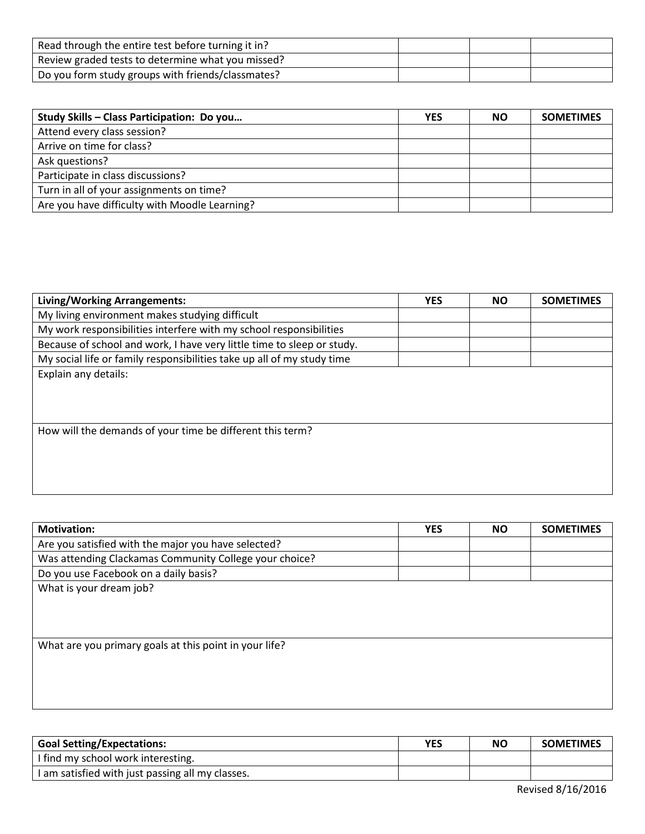| Read through the entire test before turning it in? |  |  |
|----------------------------------------------------|--|--|
| Review graded tests to determine what you missed?  |  |  |
| Do you form study groups with friends/classmates?  |  |  |

| Study Skills - Class Participation: Do you    | <b>YES</b> | <b>NO</b> | <b>SOMETIMES</b> |
|-----------------------------------------------|------------|-----------|------------------|
| Attend every class session?                   |            |           |                  |
| Arrive on time for class?                     |            |           |                  |
| Ask questions?                                |            |           |                  |
| Participate in class discussions?             |            |           |                  |
| Turn in all of your assignments on time?      |            |           |                  |
| Are you have difficulty with Moodle Learning? |            |           |                  |

| Living/Working Arrangements:                                           | <b>YES</b> | <b>NO</b> | <b>SOMETIMES</b> |
|------------------------------------------------------------------------|------------|-----------|------------------|
| My living environment makes studying difficult                         |            |           |                  |
| My work responsibilities interfere with my school responsibilities     |            |           |                  |
| Because of school and work, I have very little time to sleep or study. |            |           |                  |
| My social life or family responsibilities take up all of my study time |            |           |                  |
| Explain any details:                                                   |            |           |                  |
| How will the demands of your time be different this term?              |            |           |                  |

| <b>Motivation:</b>                                     | <b>YES</b> | <b>NO</b> | <b>SOMETIMES</b> |
|--------------------------------------------------------|------------|-----------|------------------|
| Are you satisfied with the major you have selected?    |            |           |                  |
| Was attending Clackamas Community College your choice? |            |           |                  |
| Do you use Facebook on a daily basis?                  |            |           |                  |
| What is your dream job?                                |            |           |                  |
|                                                        |            |           |                  |
|                                                        |            |           |                  |
|                                                        |            |           |                  |
| What are you primary goals at this point in your life? |            |           |                  |
|                                                        |            |           |                  |
|                                                        |            |           |                  |
|                                                        |            |           |                  |
|                                                        |            |           |                  |

| <b>Goal Setting/Expectations:</b>                | YES | <b>NO</b> | <b>SOMETIMES</b> |
|--------------------------------------------------|-----|-----------|------------------|
| I find my school work interesting.               |     |           |                  |
| I am satisfied with just passing all my classes. |     |           |                  |